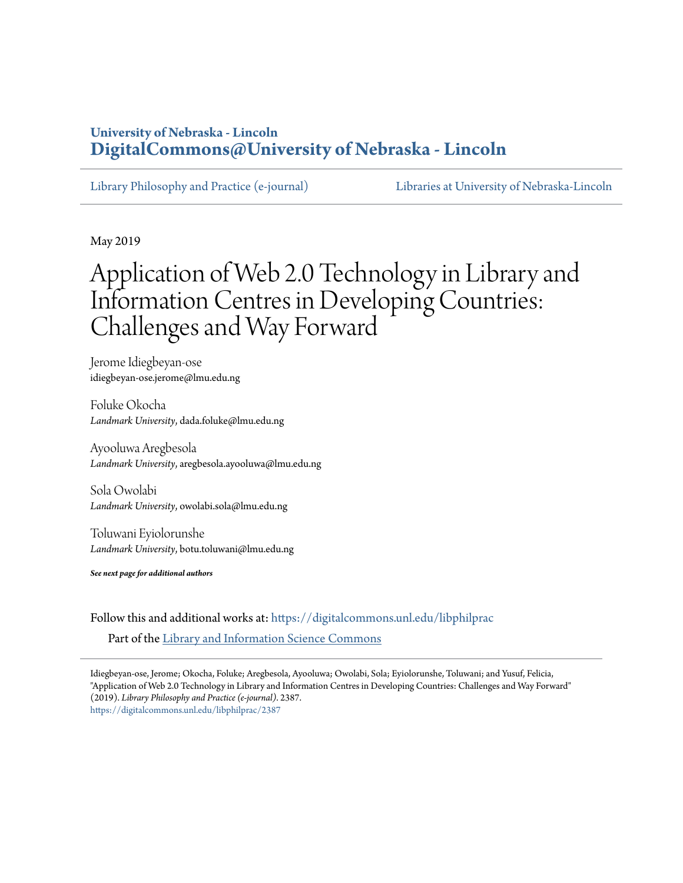# **University of Nebraska - Lincoln [DigitalCommons@University of Nebraska - Lincoln](https://digitalcommons.unl.edu?utm_source=digitalcommons.unl.edu%2Flibphilprac%2F2387&utm_medium=PDF&utm_campaign=PDFCoverPages)**

[Library Philosophy and Practice \(e-journal\)](https://digitalcommons.unl.edu/libphilprac?utm_source=digitalcommons.unl.edu%2Flibphilprac%2F2387&utm_medium=PDF&utm_campaign=PDFCoverPages) [Libraries at University of Nebraska-Lincoln](https://digitalcommons.unl.edu/libraries?utm_source=digitalcommons.unl.edu%2Flibphilprac%2F2387&utm_medium=PDF&utm_campaign=PDFCoverPages)

May 2019

# Application of Web 2.0 Technology in Library and Information Centres in Developing Countries: Challenges and Way Forward

Jerome Idiegbeyan-ose idiegbeyan-ose.jerome@lmu.edu.ng

Foluke Okocha *Landmark University*, dada.foluke@lmu.edu.ng

Ayooluwa Aregbesola *Landmark University*, aregbesola.ayooluwa@lmu.edu.ng

Sola Owolabi *Landmark University*, owolabi.sola@lmu.edu.ng

Toluwani Eyiolorunshe *Landmark University*, botu.toluwani@lmu.edu.ng

*See next page for additional authors*

Follow this and additional works at: [https://digitalcommons.unl.edu/libphilprac](https://digitalcommons.unl.edu/libphilprac?utm_source=digitalcommons.unl.edu%2Flibphilprac%2F2387&utm_medium=PDF&utm_campaign=PDFCoverPages) Part of the [Library and Information Science Commons](http://network.bepress.com/hgg/discipline/1018?utm_source=digitalcommons.unl.edu%2Flibphilprac%2F2387&utm_medium=PDF&utm_campaign=PDFCoverPages)

Idiegbeyan-ose, Jerome; Okocha, Foluke; Aregbesola, Ayooluwa; Owolabi, Sola; Eyiolorunshe, Toluwani; and Yusuf, Felicia, "Application of Web 2.0 Technology in Library and Information Centres in Developing Countries: Challenges and Way Forward" (2019). *Library Philosophy and Practice (e-journal)*. 2387. [https://digitalcommons.unl.edu/libphilprac/2387](https://digitalcommons.unl.edu/libphilprac/2387?utm_source=digitalcommons.unl.edu%2Flibphilprac%2F2387&utm_medium=PDF&utm_campaign=PDFCoverPages)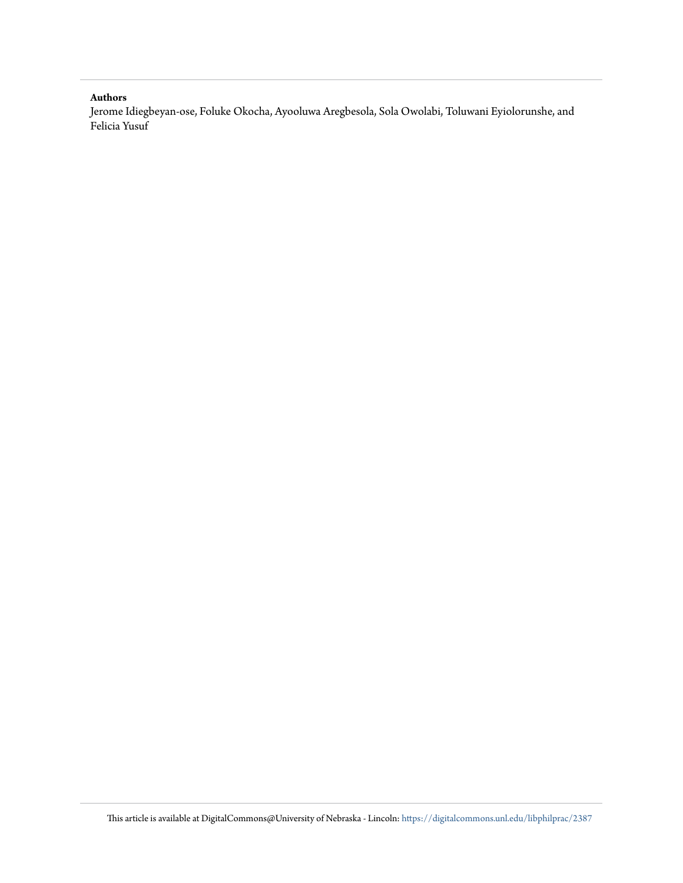#### **Authors**

Jerome Idiegbeyan-ose, Foluke Okocha, Ayooluwa Aregbesola, Sola Owolabi, Toluwani Eyiolorunshe, and Felicia Yusuf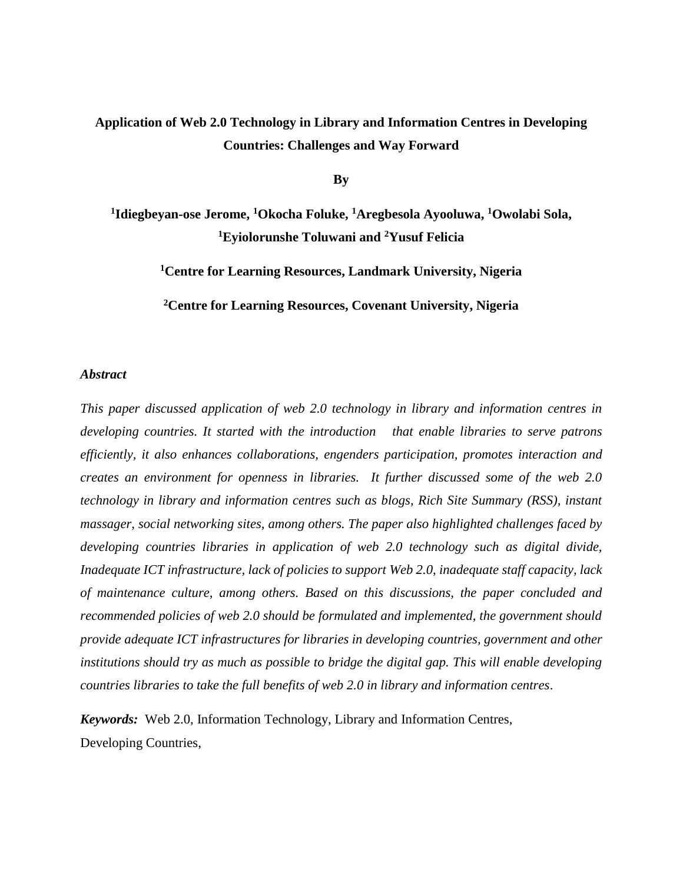# **Application of Web 2.0 Technology in Library and Information Centres in Developing Countries: Challenges and Way Forward**

**By**

**1 Idiegbeyan-ose Jerome, <sup>1</sup>Okocha Foluke, <sup>1</sup>Aregbesola Ayooluwa, <sup>1</sup>Owolabi Sola, <sup>1</sup>Eyiolorunshe Toluwani and <sup>2</sup>Yusuf Felicia**

**<sup>1</sup>Centre for Learning Resources, Landmark University, Nigeria**

**<sup>2</sup>Centre for Learning Resources, Covenant University, Nigeria**

### *Abstract*

*This paper discussed application of web 2.0 technology in library and information centres in developing countries. It started with the introduction that enable libraries to serve patrons efficiently, it also enhances collaborations, engenders participation, promotes interaction and creates an environment for openness in libraries. It further discussed some of the web 2.0 technology in library and information centres such as blogs, Rich Site Summary (RSS), instant massager, social networking sites, among others. The paper also highlighted challenges faced by developing countries libraries in application of web 2.0 technology such as digital divide, Inadequate ICT infrastructure, lack of policies to support Web 2.0, inadequate staff capacity, lack of maintenance culture, among others. Based on this discussions, the paper concluded and recommended policies of web 2.0 should be formulated and implemented, the government should provide adequate ICT infrastructures for libraries in developing countries, government and other institutions should try as much as possible to bridge the digital gap. This will enable developing countries libraries to take the full benefits of web 2.0 in library and information centres*.

*Keywords:*Web 2.0, Information Technology, Library and Information Centres, Developing Countries,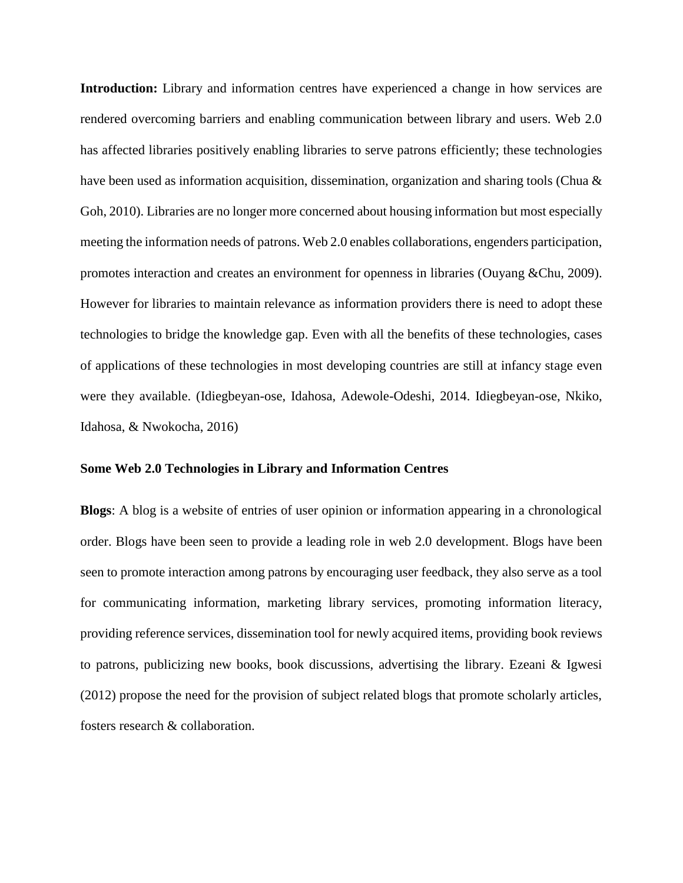**Introduction:** Library and information centres have experienced a change in how services are rendered overcoming barriers and enabling communication between library and users. Web 2.0 has affected libraries positively enabling libraries to serve patrons efficiently; these technologies have been used as information acquisition, dissemination, organization and sharing tools (Chua & Goh, 2010). Libraries are no longer more concerned about housing information but most especially meeting the information needs of patrons. Web 2.0 enables collaborations, engenders participation, promotes interaction and creates an environment for openness in libraries (Ouyang &Chu, 2009). However for libraries to maintain relevance as information providers there is need to adopt these technologies to bridge the knowledge gap. Even with all the benefits of these technologies, cases of applications of these technologies in most developing countries are still at infancy stage even were they available. (Idiegbeyan-ose, Idahosa, Adewole-Odeshi, 2014. Idiegbeyan-ose, Nkiko, Idahosa, & Nwokocha, 2016)

#### **Some Web 2.0 Technologies in Library and Information Centres**

**Blogs**: A blog is a website of entries of user opinion or information appearing in a chronological order. Blogs have been seen to provide a leading role in web 2.0 development. Blogs have been seen to promote interaction among patrons by encouraging user feedback, they also serve as a tool for communicating information, marketing library services, promoting information literacy, providing reference services, dissemination tool for newly acquired items, providing book reviews to patrons, publicizing new books, book discussions, advertising the library. Ezeani & Igwesi (2012) propose the need for the provision of subject related blogs that promote scholarly articles, fosters research & collaboration.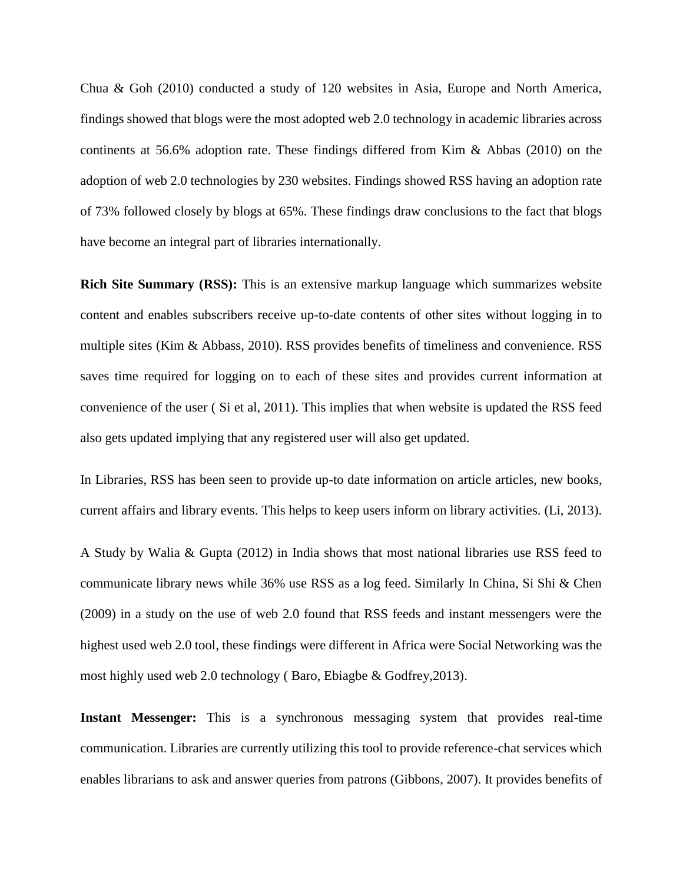Chua & Goh (2010) conducted a study of 120 websites in Asia, Europe and North America, findings showed that blogs were the most adopted web 2.0 technology in academic libraries across continents at 56.6% adoption rate. These findings differed from Kim & Abbas (2010) on the adoption of web 2.0 technologies by 230 websites. Findings showed RSS having an adoption rate of 73% followed closely by blogs at 65%. These findings draw conclusions to the fact that blogs have become an integral part of libraries internationally.

**Rich Site Summary (RSS):** This is an extensive markup language which summarizes website content and enables subscribers receive up-to-date contents of other sites without logging in to multiple sites (Kim & Abbass, 2010). RSS provides benefits of timeliness and convenience. RSS saves time required for logging on to each of these sites and provides current information at convenience of the user ( Si et al, 2011). This implies that when website is updated the RSS feed also gets updated implying that any registered user will also get updated.

In Libraries, RSS has been seen to provide up-to date information on article articles, new books, current affairs and library events. This helps to keep users inform on library activities. (Li, 2013).

A Study by Walia & Gupta (2012) in India shows that most national libraries use RSS feed to communicate library news while 36% use RSS as a log feed. Similarly In China, Si Shi & Chen (2009) in a study on the use of web 2.0 found that RSS feeds and instant messengers were the highest used web 2.0 tool, these findings were different in Africa were Social Networking was the most highly used web 2.0 technology ( Baro, Ebiagbe & Godfrey,2013).

**Instant Messenger:** This is a synchronous messaging system that provides real-time communication. Libraries are currently utilizing this tool to provide reference-chat services which enables librarians to ask and answer queries from patrons (Gibbons, 2007). It provides benefits of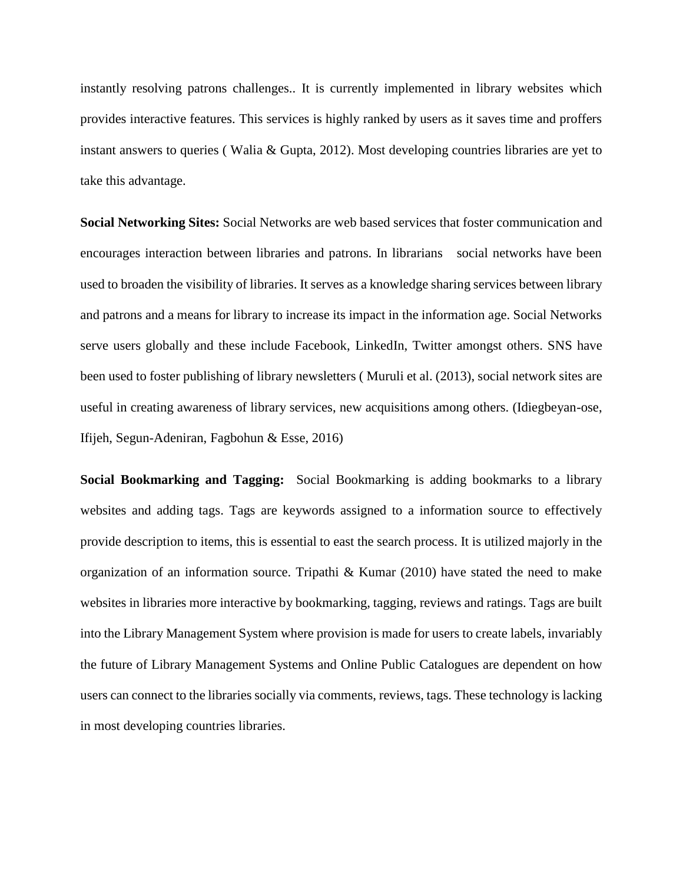instantly resolving patrons challenges.. It is currently implemented in library websites which provides interactive features. This services is highly ranked by users as it saves time and proffers instant answers to queries ( Walia & Gupta, 2012). Most developing countries libraries are yet to take this advantage.

**Social Networking Sites:** Social Networks are web based services that foster communication and encourages interaction between libraries and patrons. In librarians social networks have been used to broaden the visibility of libraries. It serves as a knowledge sharing services between library and patrons and a means for library to increase its impact in the information age. Social Networks serve users globally and these include Facebook, LinkedIn, Twitter amongst others. SNS have been used to foster publishing of library newsletters ( Muruli et al. (2013), social network sites are useful in creating awareness of library services, new acquisitions among others. (Idiegbeyan-ose, Ifijeh, Segun-Adeniran, Fagbohun & Esse, 2016)

**Social Bookmarking and Tagging:** Social Bookmarking is adding bookmarks to a library websites and adding tags. Tags are keywords assigned to a information source to effectively provide description to items, this is essential to east the search process. It is utilized majorly in the organization of an information source. Tripathi & Kumar (2010) have stated the need to make websites in libraries more interactive by bookmarking, tagging, reviews and ratings. Tags are built into the Library Management System where provision is made for users to create labels, invariably the future of Library Management Systems and Online Public Catalogues are dependent on how users can connect to the libraries socially via comments, reviews, tags. These technology is lacking in most developing countries libraries.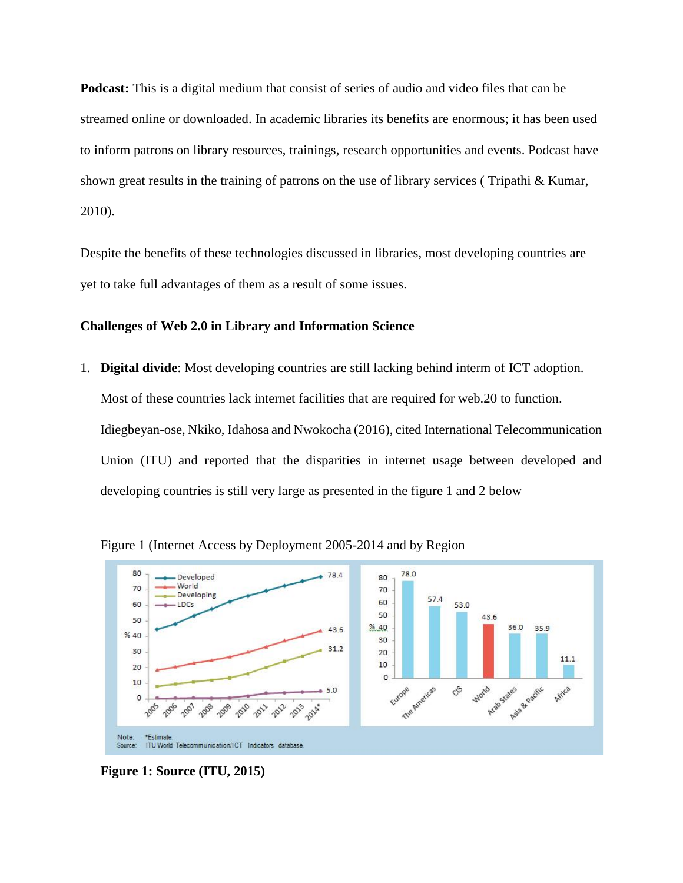**Podcast:** This is a digital medium that consist of series of audio and video files that can be streamed online or downloaded. In academic libraries its benefits are enormous; it has been used to inform patrons on library resources, trainings, research opportunities and events. Podcast have shown great results in the training of patrons on the use of library services ( Tripathi & Kumar, 2010).

Despite the benefits of these technologies discussed in libraries, most developing countries are yet to take full advantages of them as a result of some issues.

# **Challenges of Web 2.0 in Library and Information Science**

1. **Digital divide**: Most developing countries are still lacking behind interm of ICT adoption. Most of these countries lack internet facilities that are required for web.20 to function. Idiegbeyan-ose, Nkiko, Idahosa and Nwokocha (2016), cited International Telecommunication Union (ITU) and reported that the disparities in internet usage between developed and developing countries is still very large as presented in the figure 1 and 2 below



Figure 1 (Internet Access by Deployment 2005-2014 and by Region

**Figure 1: Source (ITU, 2015)**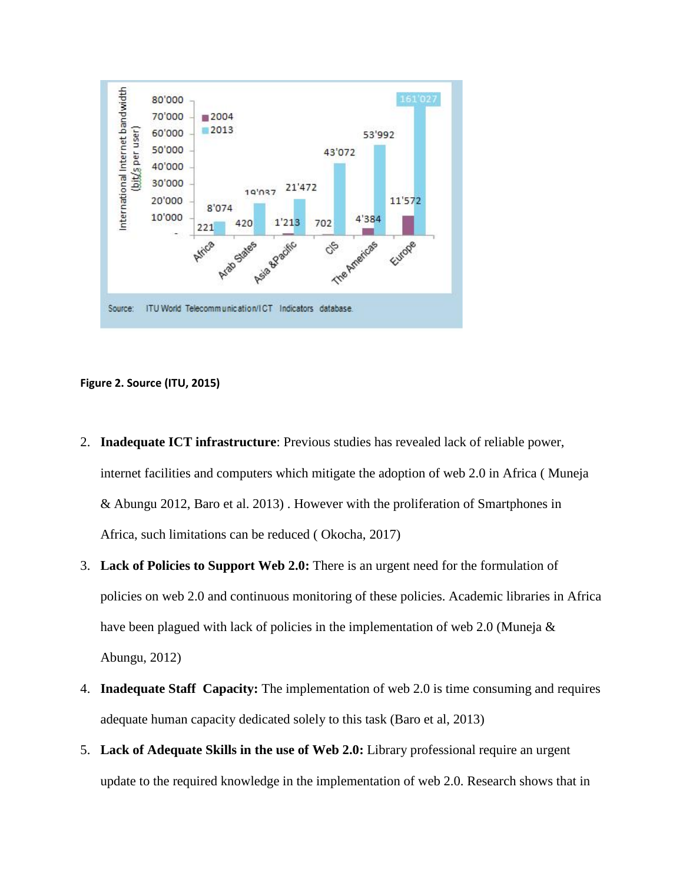

# **Figure 2. Source (ITU, 2015)**

- 2. **Inadequate ICT infrastructure**: Previous studies has revealed lack of reliable power, internet facilities and computers which mitigate the adoption of web 2.0 in Africa ( Muneja & Abungu 2012, Baro et al. 2013) . However with the proliferation of Smartphones in Africa, such limitations can be reduced ( Okocha, 2017)
- 3. **Lack of Policies to Support Web 2.0:** There is an urgent need for the formulation of policies on web 2.0 and continuous monitoring of these policies. Academic libraries in Africa have been plagued with lack of policies in the implementation of web 2.0 (Muneja & Abungu, 2012)
- 4. **Inadequate Staff Capacity:** The implementation of web 2.0 is time consuming and requires adequate human capacity dedicated solely to this task (Baro et al, 2013)
- 5. **Lack of Adequate Skills in the use of Web 2.0:** Library professional require an urgent update to the required knowledge in the implementation of web 2.0. Research shows that in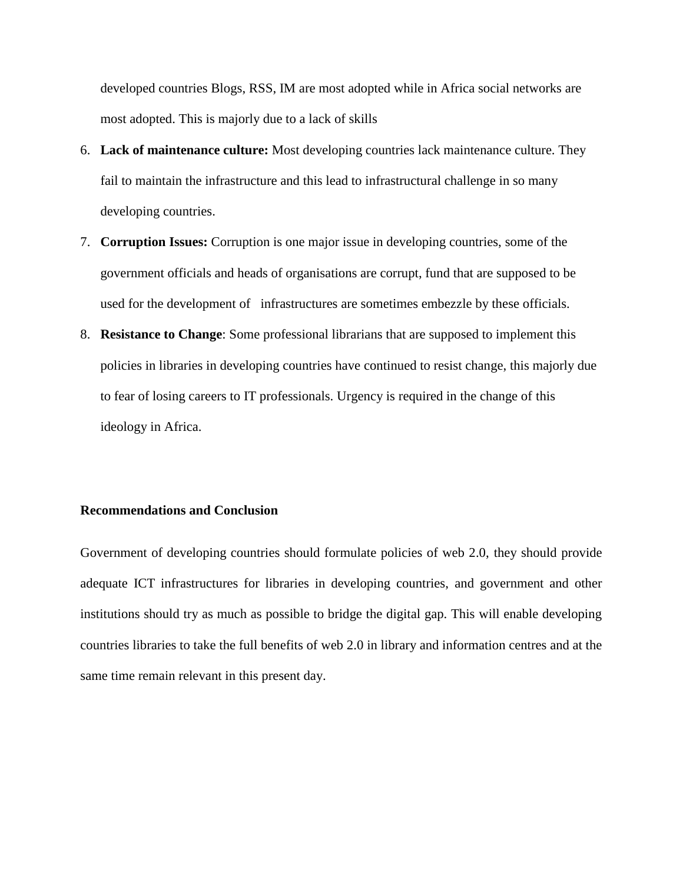developed countries Blogs, RSS, IM are most adopted while in Africa social networks are most adopted. This is majorly due to a lack of skills

- 6. **Lack of maintenance culture:** Most developing countries lack maintenance culture. They fail to maintain the infrastructure and this lead to infrastructural challenge in so many developing countries.
- 7. **Corruption Issues:** Corruption is one major issue in developing countries, some of the government officials and heads of organisations are corrupt, fund that are supposed to be used for the development of infrastructures are sometimes embezzle by these officials.
- 8. **Resistance to Change**: Some professional librarians that are supposed to implement this policies in libraries in developing countries have continued to resist change, this majorly due to fear of losing careers to IT professionals. Urgency is required in the change of this ideology in Africa.

# **Recommendations and Conclusion**

Government of developing countries should formulate policies of web 2.0, they should provide adequate ICT infrastructures for libraries in developing countries, and government and other institutions should try as much as possible to bridge the digital gap. This will enable developing countries libraries to take the full benefits of web 2.0 in library and information centres and at the same time remain relevant in this present day.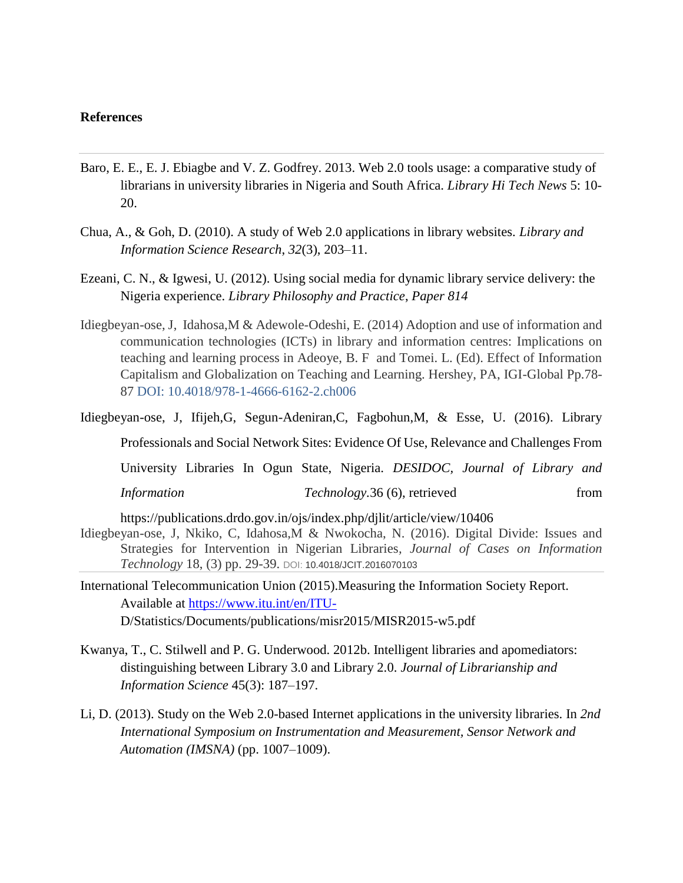# **References**

- Baro, E. E., E. J. Ebiagbe and V. Z. Godfrey. 2013. Web 2.0 tools usage: a comparative study of librarians in university libraries in Nigeria and South Africa. *Library Hi Tech News* 5: 10- 20.
- Chua, A., & Goh, D. (2010). A study of Web 2.0 applications in library websites. *Library and Information Science Research*, *32*(3), 203–11.
- Ezeani, C. N., & Igwesi, U. (2012). Using social media for dynamic library service delivery: the Nigeria experience. *Library Philosophy and Practice*, *Paper 814*
- Idiegbeyan-ose, J, Idahosa,M & Adewole-Odeshi, E. (2014) Adoption and use of information and communication technologies (ICTs) in library and information centres: Implications on teaching and learning process in Adeoye, B. F and Tomei. L. (Ed). Effect of Information Capitalism and Globalization on Teaching and Learning. Hershey, PA, IGI-Global Pp.78- 87 DOI: 10.4018/978-1-4666-6162-2.ch006
- Idiegbeyan-ose, J, Ifijeh,G, Segun-Adeniran,C, Fagbohun,M, & Esse, U. (2016). Library Professionals and Social Network Sites: Evidence Of Use, Relevance and Challenges From University Libraries In Ogun State, Nigeria. *DESIDOC, Journal of Library and Information Technology.* 36 (6), retrieved from https://publications.drdo.gov.in/ojs/index.php/djlit/article/view/10406 Idiegbeyan-ose, J, Nkiko, C, Idahosa,M & Nwokocha, N. (2016). Digital Divide: Issues and Strategies for Intervention in Nigerian Libraries*, Journal of Cases on Information Technology* 18, (3) pp. 29-39. DOI: 10.4018/JCIT.2016070103
- International Telecommunication Union (2015).Measuring the Information Society Report. Available at<https://www.itu.int/en/ITU->D/Statistics/Documents/publications/misr2015/MISR2015-w5.pdf
- Kwanya, T., C. Stilwell and P. G. Underwood. 2012b. Intelligent libraries and apomediators: distinguishing between Library 3.0 and Library 2.0. *Journal of Librarianship and Information Science* 45(3): 187–197.
- Li, D. (2013). Study on the Web 2.0-based Internet applications in the university libraries. In *2nd International Symposium on Instrumentation and Measurement, Sensor Network and Automation (IMSNA)* (pp. 1007–1009).